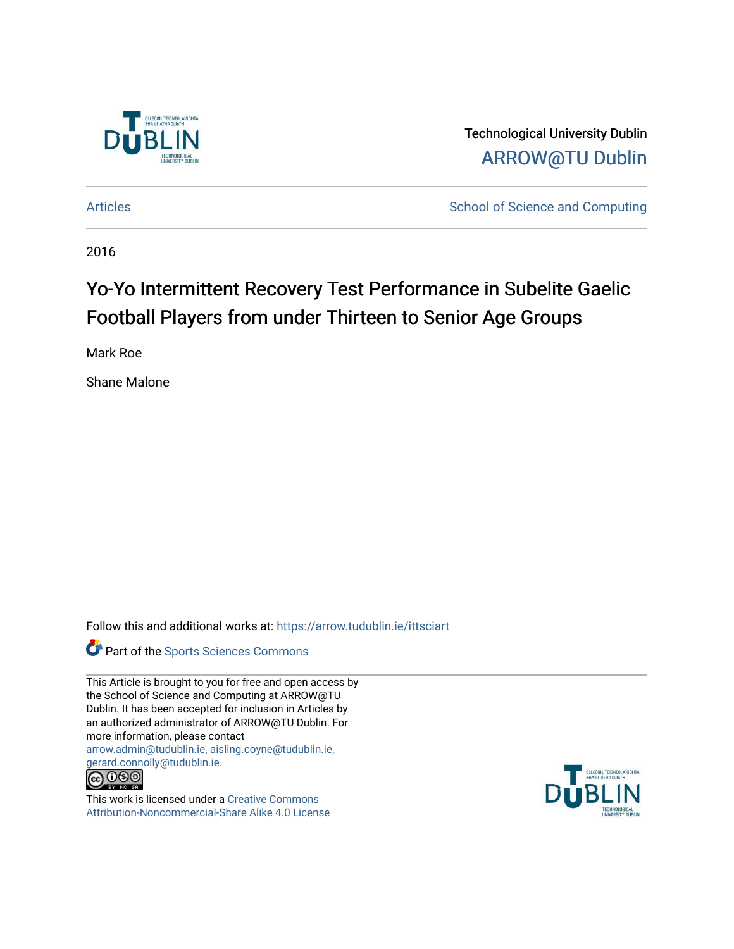

Technological University Dublin [ARROW@TU Dublin](https://arrow.tudublin.ie/) 

[Articles](https://arrow.tudublin.ie/ittsciart) **School of Science and Computing** 

2016

# Yo-Yo Intermittent Recovery Test Performance in Subelite Gaelic Football Players from under Thirteen to Senior Age Groups

Mark Roe

Shane Malone

Follow this and additional works at: [https://arrow.tudublin.ie/ittsciart](https://arrow.tudublin.ie/ittsciart?utm_source=arrow.tudublin.ie%2Fittsciart%2F135&utm_medium=PDF&utm_campaign=PDFCoverPages)



This Article is brought to you for free and open access by the School of Science and Computing at ARROW@TU Dublin. It has been accepted for inclusion in Articles by an authorized administrator of ARROW@TU Dublin. For more information, please contact [arrow.admin@tudublin.ie, aisling.coyne@tudublin.ie,](mailto:arrow.admin@tudublin.ie,%20aisling.coyne@tudublin.ie,%20gerard.connolly@tudublin.ie)  [gerard.connolly@tudublin.ie](mailto:arrow.admin@tudublin.ie,%20aisling.coyne@tudublin.ie,%20gerard.connolly@tudublin.ie).



This work is licensed under a [Creative Commons](http://creativecommons.org/licenses/by-nc-sa/4.0/) [Attribution-Noncommercial-Share Alike 4.0 License](http://creativecommons.org/licenses/by-nc-sa/4.0/)

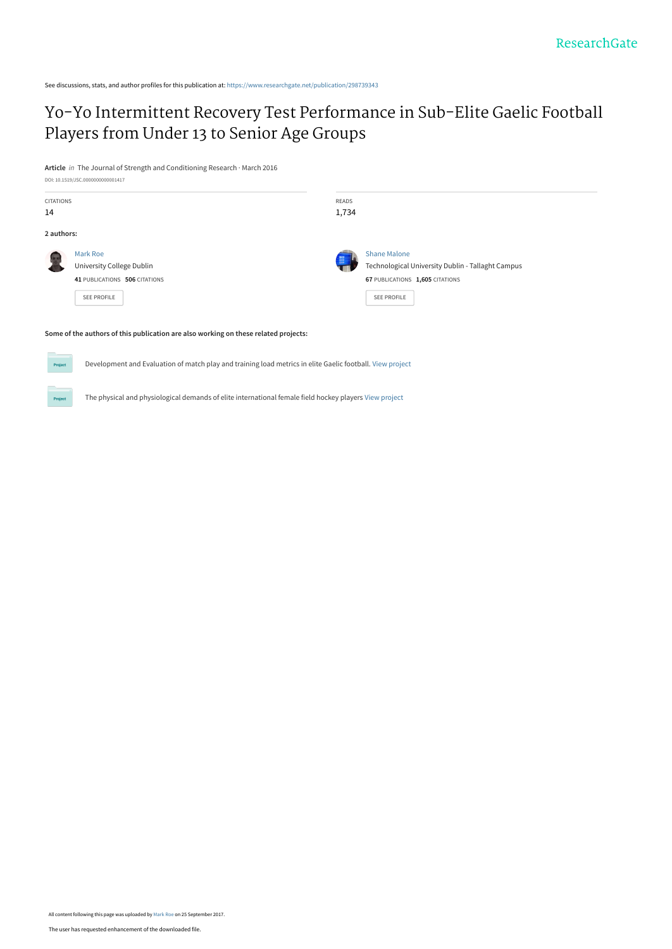See discussions, stats, and author profiles for this publication at: [https://www.researchgate.net/publication/298739343](https://www.researchgate.net/publication/298739343_Yo-Yo_Intermittent_Recovery_Test_Performance_in_Sub-Elite_Gaelic_Football_Players_from_Under_13_to_Senior_Age_Groups?enrichId=rgreq-4253b3675bd803f63e925e6d29180799-XXX&enrichSource=Y292ZXJQYWdlOzI5ODczOTM0MztBUzo1NDI1MTU4MjYxODAwOTZAMTUwNjM1NzI2MDQyNA%3D%3D&el=1_x_2&_esc=publicationCoverPdf)

# [Yo-Yo Intermittent Recovery Test Performance in Sub-Elite Gaelic Football](https://www.researchgate.net/publication/298739343_Yo-Yo_Intermittent_Recovery_Test_Performance_in_Sub-Elite_Gaelic_Football_Players_from_Under_13_to_Senior_Age_Groups?enrichId=rgreq-4253b3675bd803f63e925e6d29180799-XXX&enrichSource=Y292ZXJQYWdlOzI5ODczOTM0MztBUzo1NDI1MTU4MjYxODAwOTZAMTUwNjM1NzI2MDQyNA%3D%3D&el=1_x_3&_esc=publicationCoverPdf) Players from Under 13 to Senior Age Groups

**Article** in The Journal of Strength and Conditioning Research · March 2016

Proj



Development and Evaluation of match play and training load metrics in elite Gaelic football. [View project](https://www.researchgate.net/project/Development-and-Evaluation-of-match-play-and-training-load-metrics-in-elite-Gaelic-football?enrichId=rgreq-4253b3675bd803f63e925e6d29180799-XXX&enrichSource=Y292ZXJQYWdlOzI5ODczOTM0MztBUzo1NDI1MTU4MjYxODAwOTZAMTUwNjM1NzI2MDQyNA%3D%3D&el=1_x_9&_esc=publicationCoverPdf)

The physical and physiological demands of elite international female field hockey players [View project](https://www.researchgate.net/project/The-physical-and-physiological-demands-of-elite-international-female-field-hockey-players?enrichId=rgreq-4253b3675bd803f63e925e6d29180799-XXX&enrichSource=Y292ZXJQYWdlOzI5ODczOTM0MztBUzo1NDI1MTU4MjYxODAwOTZAMTUwNjM1NzI2MDQyNA%3D%3D&el=1_x_9&_esc=publicationCoverPdf)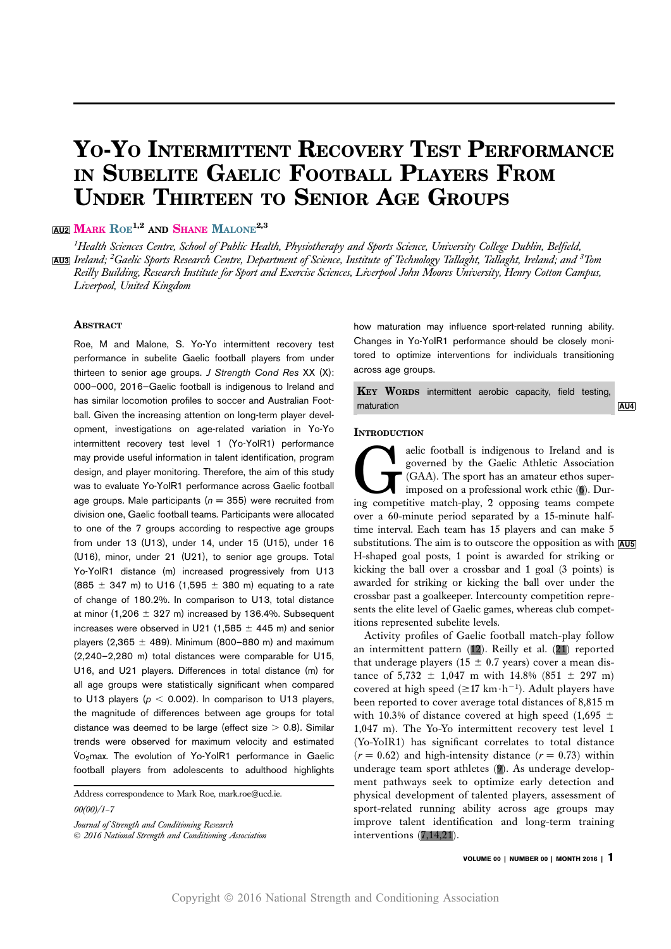# YO-YO INTERMITTENT RECOVERY TEST PERFORMANCE IN SUBELITE GAELIC FOOTBALL PLAYERS FROM UNDER THIRTEEN TO SENIOR AGE GROUPS

# **AU2** MARK ROE<sup>1,2</sup> AND SHANE MALONE<sup>2,3</sup>

<sup>1</sup>Health Sciences Centre, School of Public Health, Physiotherapy and Sports Science, University College Dublin, Belfield, <mark>AU3</mark>] Ireland; <sup>2</sup>Gaelic Sports Research Centre, Department of Science, Institute of Technology Tallaght, Tallaght, Ireland; and <sup>3</sup>Tom Reilly Building, Research Institute for Sport and Exercise Sciences, Liverpool John Moores University, Henry Cotton Campus, Liverpool, United Kingdom

### **ABSTRACT**

Roe, M and Malone, S. Yo-Yo intermittent recovery test performance in subelite Gaelic football players from under thirteen to senior age groups. J Strength Cond Res XX (X): 000–000, 2016—Gaelic football is indigenous to Ireland and has similar locomotion profiles to soccer and Australian Football. Given the increasing attention on long-term player development, investigations on age-related variation in Yo-Yo intermittent recovery test level 1 (Yo-YoIR1) performance may provide useful information in talent identification, program design, and player monitoring. Therefore, the aim of this study was to evaluate Yo-YoIR1 performance across Gaelic football age groups. Male participants ( $n = 355$ ) were recruited from division one, Gaelic football teams. Participants were allocated to one of the 7 groups according to respective age groups from under 13 (U13), under 14, under 15 (U15), under 16 (U16), minor, under 21 (U21), to senior age groups. Total Yo-YoIR1 distance (m) increased progressively from U13 (885  $\pm$  347 m) to U16 (1,595  $\pm$  380 m) equating to a rate of change of 180.2%. In comparison to U13, total distance at minor (1.206  $\pm$  327 m) increased by 136.4%. Subsequent increases were observed in U21 (1,585  $\pm$  445 m) and senior players (2,365  $\pm$  489). Minimum (800–880 m) and maximum (2,240–2,280 m) total distances were comparable for U15, U16, and U21 players. Differences in total distance (m) for all age groups were statistically significant when compared to U13 players ( $p < 0.002$ ). In comparison to U13 players, the magnitude of differences between age groups for total distance was deemed to be large (effect size  $> 0.8$ ). Similar trends were observed for maximum velocity and estimated  $Vo_2$ max. The evolution of Yo-YoIR1 performance in Gaelic football players from adolescents to adulthood highlights

Address correspondence to Mark Roe, mark.roe@ucd.ie.

00(00)/1–7

 $\odot$  2016 National Strength and Conditioning Association

how maturation may influence sport-related running ability. Changes in Yo-YoIR1 performance should be closely monitored to optimize interventions for individuals transitioning across age groups.

KEY WORDS intermittent aerobic capacity, field testing, maturation and the contract of the contract of the contract of the contract of the contract of the contract of the contract of the contract of the contract of the contract of the contract of the contract of the contract of

#### **INTRODUCTION**

aelic football is indigenous to Ireland and is governed by the Gaelic Athletic Association (GAA). The sport has an amateur ethos superimposed on a professional work ethic (6). During competitive match-play, 2 opposing teams compete over a 60-minute period separated by a 15-minute halftime interval. Each team has 15 players and can make 5 substitutions. The aim is to outscore the opposition as with  $\overline{AUS}$ H-shaped goal posts, 1 point is awarded for striking or kicking the ball over a crossbar and 1 goal (3 points) is awarded for striking or kicking the ball over under the crossbar past a goalkeeper. Intercounty competition represents the elite level of Gaelic games, whereas club competitions represented subelite levels.

Activity profiles of Gaelic football match-play follow an intermittent pattern (12). Reilly et al. (21) reported that underage players (15  $\pm$  0.7 years) cover a mean distance of  $5,732 \pm 1,047$  m with  $14.8\%$  (851  $\pm$  297 m) covered at high speed  $(\geq 17 \text{ km} \cdot \text{h}^{-1})$ . Adult players have been reported to cover average total distances of 8,815 m with 10.3% of distance covered at high speed (1,695  $\pm$ 1,047 m). The Yo-Yo intermittent recovery test level 1 (Yo-YoIR1) has significant correlates to total distance  $(r = 0.62)$  and high-intensity distance  $(r = 0.73)$  within underage team sport athletes (9). As underage development pathways seek to optimize early detection and physical development of talented players, assessment of sport-related running ability across age groups may improve talent identification and long-term training interventions (7,14,21).

Journal of Strength and Conditioning Research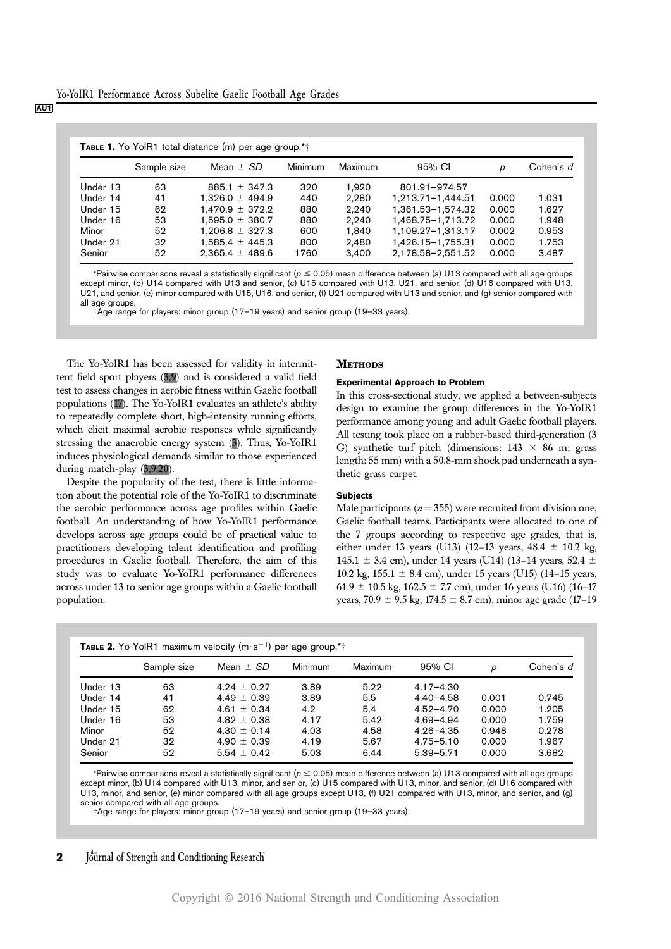AU1

|          |             | <b>TABLE 1.</b> Yo-YoIR1 total distance (m) per age group.*† |         |         |                       |       |           |
|----------|-------------|--------------------------------------------------------------|---------|---------|-----------------------|-------|-----------|
|          | Sample size | Mean $\pm$ SD                                                | Minimum | Maximum | 95% CI                | D     | Cohen's d |
| Under 13 | 63          | 885.1 $\pm$ 347.3                                            | 320     | 1.920   | 801.91-974.57         |       |           |
| Under 14 | 41          | $1.326.0 \pm 494.9$                                          | 440     | 2.280   | $1.213.71 - 1.444.51$ | 0.000 | 1.031     |
| Under 15 | 62          | $1.470.9 \pm 372.2$                                          | 880     | 2.240   | 1,361.53-1,574.32     | 0.000 | 1.627     |
| Under 16 | 53          | $1.595.0 \pm 380.7$                                          | 880     | 2.240   | 1.468.75-1.713.72     | 0.000 | 1.948     |
| Minor    | 52          | $1.206.8 \pm 327.3$                                          | 600     | 1.840   | 1.109.27-1.313.17     | 0.002 | 0.953     |
| Under 21 | 32          | $1.585.4 \pm 445.3$                                          | 800     | 2.480   | 1.426.15-1.755.31     | 0.000 | 1.753     |
| Senior   | 52          | $2.365.4 \pm 489.6$                                          | 1760    | 3.400   | 2,178.58-2,551.52     | 0.000 | 3.487     |

\*Pairwise comparisons reveal a statistically significant ( $p \le 0.05$ ) mean difference between (a) U13 compared with all age groups except minor, (b) U14 compared with U13 and senior, (c) U15 compared with U13, U21, and senior, (d) U16 compared with U13, U21, and senior, (e) minor compared with U15, U16, and senior, (f) U21 compared with U13 and senior, and (g) senior compared with all age groups.

†Age range for players: minor group (17–19 years) and senior group (19–33 years).

The Yo-YoIR1 has been assessed for validity in intermittent field sport players (3,9) and is considered a valid field test to assess changes in aerobic fitness within Gaelic football populations (17). The Yo-YoIR1 evaluates an athlete's ability to repeatedly complete short, high-intensity running efforts, which elicit maximal aerobic responses while significantly stressing the anaerobic energy system (3). Thus, Yo-YoIR1 induces physiological demands similar to those experienced during match-play (3,9,20).

Despite the popularity of the test, there is little information about the potential role of the Yo-YoIR1 to discriminate the aerobic performance across age profiles within Gaelic football. An understanding of how Yo-YoIR1 performance develops across age groups could be of practical value to practitioners developing talent identification and profiling procedures in Gaelic football. Therefore, the aim of this study was to evaluate Yo-YoIR1 performance differences across under 13 to senior age groups within a Gaelic football population.

#### **METHODS**

#### Experimental Approach to Problem

In this cross-sectional study, we applied a between-subjects design to examine the group differences in the Yo-YoIR1 performance among young and adult Gaelic football players. All testing took place on a rubber-based third-generation (3 G) synthetic turf pitch (dimensions:  $143 \times 86$  m; grass length: 55 mm) with a 50.8-mm shock pad underneath a synthetic grass carpet.

#### **Subjects**

Male participants ( $n = 355$ ) were recruited from division one, Gaelic football teams. Participants were allocated to one of the 7 groups according to respective age grades, that is, either under 13 years (U13) (12-13 years,  $48.4 \pm 10.2$  kg, 145.1  $\pm$  3.4 cm), under 14 years (U14) (13-14 years, 52.4  $\pm$ 10.2 kg,  $155.1 \pm 8.4$  cm), under 15 years (U15) (14–15 years,  $61.9 \pm 10.5$  kg,  $162.5 \pm 7.7$  cm), under 16 years (U16) (16–17 years,  $70.9 \pm 9.5$  kg,  $174.5 \pm 8.7$  cm), minor age grade (17–19

|          | <b>IABLE 2.</b> Yo-YolR1 maximum velocity (m $s^-$ ) per age group. <sup>*</sup> |                 |         |         |               |       |           |  |  |
|----------|----------------------------------------------------------------------------------|-----------------|---------|---------|---------------|-------|-----------|--|--|
|          | Sample size                                                                      | Mean $\pm$ SD   | Minimum | Maximum | 95% CI        | р     | Cohen's d |  |  |
| Under 13 | 63                                                                               | $4.94 + 0.97$   | 3.89    | 5.22    | $4.17 - 4.30$ |       |           |  |  |
| Under 14 | 41                                                                               | $4.49 \pm 0.39$ | 3.89    | 5.5     | $4.40 - 4.58$ | 0.001 | 0.745     |  |  |
| Under 15 | 62                                                                               | $4.61 + 0.34$   | 4.2     | 5.4     | $4.52 - 4.70$ | 0.000 | 1.205     |  |  |
| Under 16 | 53                                                                               | $4.82 \pm 0.38$ | 4.17    | 5.42    | $4.69 - 4.94$ | 0.000 | 1.759     |  |  |
| Minor    | 52                                                                               | $4.30 + 0.14$   | 4.03    | 4.58    | $4.26 - 4.35$ | 0.948 | 0.278     |  |  |
| Under 21 | 32                                                                               | $4.90 \pm 0.39$ | 4.19    | 5.67    | $4.75 - 5.10$ | 0.000 | 1.967     |  |  |
| Senior   | 52                                                                               | $5.54 \pm 0.42$ | 5.03    | 6.44    | $5.39 - 5.71$ | 0.000 | 3.682     |  |  |

| <b>TABLE 2.</b> Yo-YolR1 maximum velocity $(m \cdot s^{-1})$ per age group.** |  |  |  |  |  |  |  |  |
|-------------------------------------------------------------------------------|--|--|--|--|--|--|--|--|
|-------------------------------------------------------------------------------|--|--|--|--|--|--|--|--|

\*Pairwise comparisons reveal a statistically significant ( $p \le 0.05$ ) mean difference between (a) U13 compared with all age groups except minor, (b) U14 compared with U13, minor, and senior, (c) U15 compared with U13, minor, and senior, (d) U16 compared with U13, minor, and senior, (e) minor compared with all age groups except U13, (f) U21 compared with U13, minor, and senior, and (g) senior compared with all age groups.

†Age range for players: minor group (17–19 years) and senior group (19–33 years).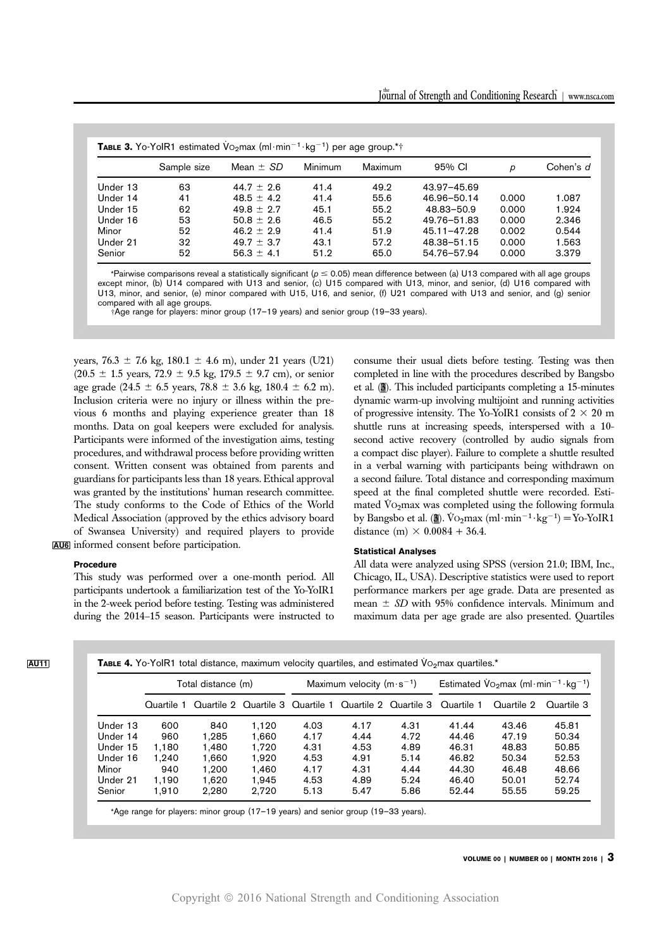|          |             | <b>TABLE 3.</b> Yo-YolR1 estimated $VO2$ max (ml·min <sup>-1</sup> ·kg <sup>-1</sup> ) per age group.* <sup>*</sup> |         |         |                 |       |           |
|----------|-------------|---------------------------------------------------------------------------------------------------------------------|---------|---------|-----------------|-------|-----------|
|          | Sample size | Mean $\pm$ SD                                                                                                       | Minimum | Maximum | 95% CI          | р     | Cohen's d |
| Under 13 | 63          | $44.7 \pm 2.6$                                                                                                      | 41.4    | 49.2    | 43.97-45.69     |       |           |
| Under 14 | 41          | $48.5 + 4.2$                                                                                                        | 41.4    | 55.6    | 46.96-50.14     | 0.000 | 1.087     |
| Under 15 | 62          | $49.8 + 2.7$                                                                                                        | 45.1    | 55.2    | 48.83-50.9      | 0.000 | 1.924     |
| Under 16 | 53          | $50.8 + 2.6$                                                                                                        | 46.5    | 55.2    | 49.76-51.83     | 0.000 | 2.346     |
| Minor    | 52          | $46.9 + 2.9$                                                                                                        | 41.4    | 51.9    | $45.11 - 47.28$ | 0.002 | 0.544     |
| Under 21 | 32          | $49.7 + 3.7$                                                                                                        | 43.1    | 57.2    | 48.38-51.15     | 0.000 | 1.563     |
| Senior   | 52          | $56.3 + 4.1$                                                                                                        | 51.2    | 65.0    | 54.76-57.94     | 0.000 | 3.379     |

\*Pairwise comparisons reveal a statistically significant ( $p \le 0.05$ ) mean difference between (a) U13 compared with all age groups except minor, (b) U14 compared with U13 and senior, (c) U15 compared with U13, minor, and senior, (d) U16 compared with U13, minor, and senior, (e) minor compared with U15, U16, and senior, (f) U21 compared with U13 and senior, and (g) senior compared with all age groups.

†Age range for players: minor group (17–19 years) and senior group (19–33 years).

years,  $76.3 \pm 7.6$  kg,  $180.1 \pm 4.6$  m), under 21 years (U21)  $(20.5 \pm 1.5 \text{ years}, 72.9 \pm 9.5 \text{ kg}, 179.5 \pm 9.7 \text{ cm})$ , or senior age grade (24.5  $\pm$  6.5 years, 78.8  $\pm$  3.6 kg, 180.4  $\pm$  6.2 m). Inclusion criteria were no injury or illness within the previous 6 months and playing experience greater than 18 months. Data on goal keepers were excluded for analysis. Participants were informed of the investigation aims, testing procedures, and withdrawal process before providing written consent. Written consent was obtained from parents and guardians for participants less than 18 years. Ethical approval was granted by the institutions' human research committee. The study conforms to the Code of Ethics of the World Medical Association (approved by the ethics advisory board of Swansea University) and required players to provide AU6 informed consent before participation.

### Procedure

This study was performed over a one-month period. All participants undertook a familiarization test of the Yo-YoIR1 in the 2-week period before testing. Testing was administered during the 2014–15 season. Participants were instructed to consume their usual diets before testing. Testing was then completed in line with the procedures described by Bangsbo et al. (3). This included participants completing a 15-minutes dynamic warm-up involving multijoint and running activities of progressive intensity. The Yo-YoIR1 consists of  $2 \times 20$  m shuttle runs at increasing speeds, interspersed with a 10 second active recovery (controlled by audio signals from a compact disc player). Failure to complete a shuttle resulted in a verbal warning with participants being withdrawn on a second failure. Total distance and corresponding maximum speed at the final completed shuttle were recorded. Estimated  $\dot{V}$ O<sub>2</sub>max was completed using the following formula by Bangsbo et al. (3).  $\overline{V}_{\text{O}_2}$ max (ml·min<sup>-1</sup>·kg<sup>-1</sup>) = Yo-YoIR1 distance (m)  $\times$  0.0084 + 36.4.

## Statistical Analyses

All data were analyzed using SPSS (version 21.0; IBM, Inc., Chicago, IL, USA). Descriptive statistics were used to report performance markers per age grade. Data are presented as mean  $\pm$  SD with 95% confidence intervals. Minimum and maximum data per age grade are also presented. Quartiles

| TABLE 4. Yo-YoIR1 total distance, maximum velocity quartiles, and estimated Vo <sub>2</sub> max quartiles.* |  |
|-------------------------------------------------------------------------------------------------------------|--|
|-------------------------------------------------------------------------------------------------------------|--|

|          | Total distance (m) |       |       | Maximum velocity $(m \cdot s^{-1})$ |                                                        |      | Estimated $\sqrt{V_2}$ max (ml·min <sup>-1</sup> ·kg <sup>-1</sup> ) |            |            |
|----------|--------------------|-------|-------|-------------------------------------|--------------------------------------------------------|------|----------------------------------------------------------------------|------------|------------|
|          | Quartile 1         |       |       |                                     | Quartile 2 Quartile 3 Quartile 1 Quartile 2 Quartile 3 |      | Quartile 1                                                           | Quartile 2 | Quartile 3 |
| Under 13 | 600                | 840   | 1.120 | 4.03                                | 4.17                                                   | 4.31 | 41.44                                                                | 43.46      | 45.81      |
| Under 14 | 960                | 1.285 | 1.660 | 4.17                                | 4.44                                                   | 4.72 | 44.46                                                                | 47.19      | 50.34      |
| Under 15 | 1.180              | 1.480 | 1.720 | 4.31                                | 4.53                                                   | 4.89 | 46.31                                                                | 48.83      | 50.85      |
| Under 16 | 1.240              | 1.660 | 1.920 | 4.53                                | 4.91                                                   | 5.14 | 46.82                                                                | 50.34      | 52.53      |
| Minor    | 940                | 1.200 | 1.460 | 4.17                                | 4.31                                                   | 4.44 | 44.30                                                                | 46.48      | 48.66      |
| Under 21 | 1.190              | 1.620 | 1.945 | 4.53                                | 4.89                                                   | 5.24 | 46.40                                                                | 50.01      | 52.74      |
| Senior   | 1.910              | 2.280 | 2.720 | 5.13                                | 5.47                                                   | 5.86 | 52.44                                                                | 55.55      | 59.25      |

VOLUME 00 | NUMBER 00 | MONTH 2016 | 3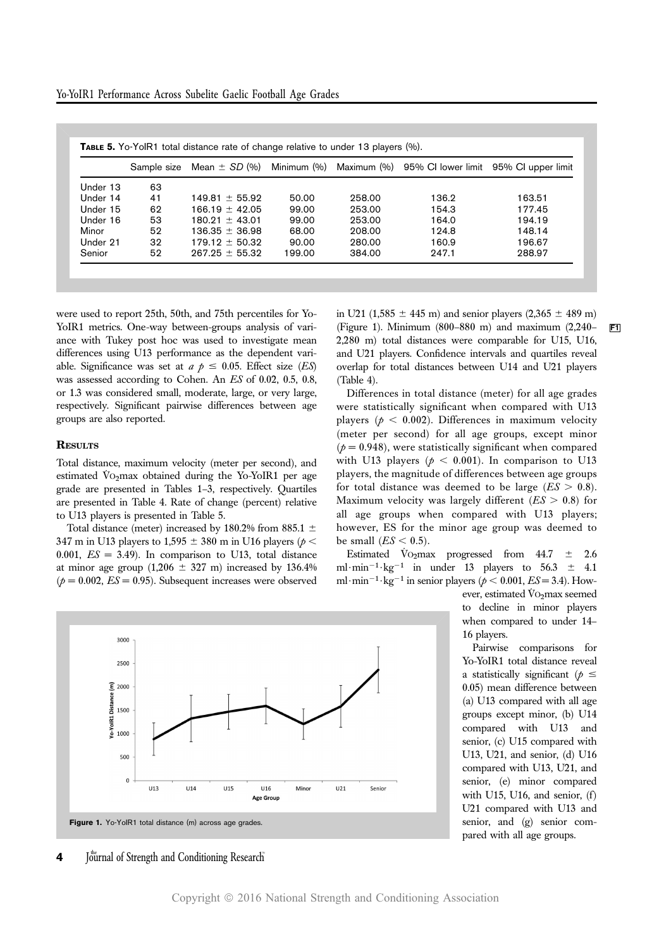|          |    |                    |        |        | Sample size Mean $\pm$ SD (%) Minimum (%) Maximum (%) 95% CI lower limit 95% CI upper limit |        |
|----------|----|--------------------|--------|--------|---------------------------------------------------------------------------------------------|--------|
| Under 13 | 63 |                    |        |        |                                                                                             |        |
| Under 14 | 41 | $149.81 + 55.92$   | 50.00  | 258.00 | 136.2                                                                                       | 163.51 |
| Under 15 | 62 | $166.19 + 42.05$   | 99.00  | 253.00 | 154.3                                                                                       | 177.45 |
| Under 16 | 53 | $180.91 + 43.01$   | 99.00  | 253.00 | 164.0                                                                                       | 194.19 |
| Minor    | 52 | $136.35 \pm 36.98$ | 68.00  | 208.00 | 124.8                                                                                       | 148.14 |
| Under 21 | 32 | $179.12 \pm 50.32$ | 90.00  | 280.00 | 160.9                                                                                       | 196.67 |
| Senior   | 52 | $267.25 \pm 55.32$ | 199.00 | 384.00 | 247.1                                                                                       | 288.97 |

were used to report 25th, 50th, and 75th percentiles for Yo-YoIR1 metrics. One-way between-groups analysis of variance with Tukey post hoc was used to investigate mean differences using U13 performance as the dependent variable. Significance was set at  $a \phi \leq 0.05$ . Effect size (ES) was assessed according to Cohen. An ES of 0.02, 0.5, 0.8, or 1.3 was considered small, moderate, large, or very large, respectively. Significant pairwise differences between age groups are also reported.

#### **RESULTS**

Total distance, maximum velocity (meter per second), and estimated  $\dot{V}$ O<sub>2</sub>max obtained during the Yo-YoIR1 per age grade are presented in Tables 1–3, respectively. Quartiles are presented in Table 4. Rate of change (percent) relative to U13 players is presented in Table 5.

Total distance (meter) increased by 180.2% from 885.1  $\pm$ 347 m in U13 players to 1,595  $\pm$  380 m in U16 players ( $p$  < 0.001,  $ES = 3.49$ ). In comparison to U13, total distance at minor age group  $(1,206 \pm 327 \text{ m})$  increased by 136.4%  $(p = 0.002, ES = 0.95)$ . Subsequent increases were observed in U21 (1,585  $\pm$  445 m) and senior players (2,365  $\pm$  489 m) (Figure 1). Minimum (800–880 m) and maximum (2,240–  $\boxed{F1}$ 2,280 m) total distances were comparable for U15, U16, and U21 players. Confidence intervals and quartiles reveal overlap for total distances between U14 and U21 players (Table 4).

Differences in total distance (meter) for all age grades were statistically significant when compared with U13 players ( $p < 0.002$ ). Differences in maximum velocity (meter per second) for all age groups, except minor  $(p = 0.948)$ , were statistically significant when compared with U13 players ( $p < 0.001$ ). In comparison to U13 players, the magnitude of differences between age groups for total distance was deemed to be large  $(ES > 0.8)$ . Maximum velocity was largely different  $(ES > 0.8)$  for all age groups when compared with U13 players; however, ES for the minor age group was deemed to be small  $(ES < 0.5)$ .

Estimated  $\dot{V}_{O_2}$ max progressed from 44.7  $\pm$  2.6 ml $\cdot$ min<sup>-1</sup> $\cdot$ kg<sup>-1</sup> in under 13 players to 56.3  $\pm$  4.1 ml·min<sup>-1</sup>·kg<sup>-1</sup> in senior players ( $p < 0.001$ ,  $ES = 3.4$ ). How-

> ever, estimated  $\rm\dot{V}o_2$ max seemed to decline in minor players when compared to under 14– 16 players.

Pairwise comparisons for Yo-YoIR1 total distance reveal a statistically significant ( $p \leq$ 0.05) mean difference between (a) U13 compared with all age groups except minor, (b) U14 compared with U13 and senior, (c) U15 compared with U13, U21, and senior, (d) U16 compared with U13, U21, and senior, (e) minor compared with U15, U16, and senior,  $(f)$ U21 compared with U13 and senior, and (g) senior compared with all age groups.



 $\mathbf{4}$  Journal of Strength and Conditioning Research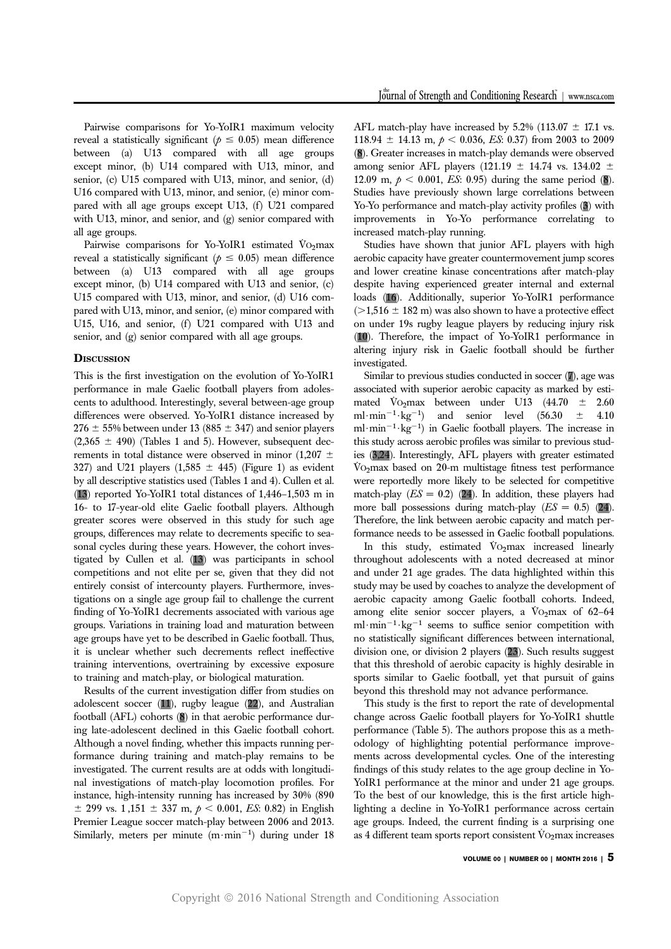Pairwise comparisons for Yo-YoIR1 maximum velocity reveal a statistically significant ( $p \le 0.05$ ) mean difference between (a) U13 compared with all age groups except minor, (b) U14 compared with U13, minor, and senior, (c) U15 compared with U13, minor, and senior, (d) U16 compared with U13, minor, and senior, (e) minor compared with all age groups except U13, (f) U21 compared with U13, minor, and senior, and (g) senior compared with all age groups.

Pairwise comparisons for Yo-YoIR1 estimated  $\dot{V}$ O<sub>2</sub>max reveal a statistically significant ( $p \leq 0.05$ ) mean difference between (a) U13 compared with all age groups except minor, (b) U14 compared with U13 and senior, (c) U15 compared with U13, minor, and senior, (d) U16 compared with U13, minor, and senior, (e) minor compared with U15, U16, and senior, (f) U21 compared with U13 and senior, and (g) senior compared with all age groups.

### **DISCUSSION**

This is the first investigation on the evolution of Yo-YoIR1 performance in male Gaelic football players from adolescents to adulthood. Interestingly, several between-age group differences were observed. Yo-YoIR1 distance increased by  $276 \pm 55\%$  between under 13 (885  $\pm$  347) and senior players  $(2,365 \pm 490)$  (Tables 1 and 5). However, subsequent decrements in total distance were observed in minor (1,207  $\pm$ 327) and U21 players  $(1,585 \pm 445)$  (Figure 1) as evident by all descriptive statistics used (Tables 1 and 4). Cullen et al. (13) reported Yo-YoIR1 total distances of 1,446–1,503 m in 16- to 17-year-old elite Gaelic football players. Although greater scores were observed in this study for such age groups, differences may relate to decrements specific to seasonal cycles during these years. However, the cohort investigated by Cullen et al. (13) was participants in school competitions and not elite per se, given that they did not entirely consist of intercounty players. Furthermore, investigations on a single age group fail to challenge the current finding of Yo-YoIR1 decrements associated with various age groups. Variations in training load and maturation between age groups have yet to be described in Gaelic football. Thus, it is unclear whether such decrements reflect ineffective training interventions, overtraining by excessive exposure to training and match-play, or biological maturation.

Results of the current investigation differ from studies on adolescent soccer (11), rugby league (22), and Australian football (AFL) cohorts (8) in that aerobic performance during late-adolescent declined in this Gaelic football cohort. Although a novel finding, whether this impacts running performance during training and match-play remains to be investigated. The current results are at odds with longitudinal investigations of match-play locomotion profiles. For instance, high-intensity running has increased by 30% (890  $\pm$  299 vs. 1,151  $\pm$  337 m,  $p < 0.001$ , *ES*: 0.82) in English Premier League soccer match-play between 2006 and 2013. Similarly, meters per minute  $(m \cdot \text{min}^{-1})$  during under 18 AFL match-play have increased by  $5.2\%$  (113.07  $\pm$  17.1 vs. 118.94  $\pm$  14.13 m,  $p < 0.036$ , *ES*: 0.37) from 2003 to 2009 (8). Greater increases in match-play demands were observed among senior AFL players (121.19  $\pm$  14.74 vs. 134.02  $\pm$ 12.09 m,  $p < 0.001$ , *ES*: 0.95) during the same period (8). Studies have previously shown large correlations between Yo-Yo performance and match-play activity profiles (3) with improvements in Yo-Yo performance correlating to increased match-play running.

Studies have shown that junior AFL players with high aerobic capacity have greater countermovement jump scores and lower creatine kinase concentrations after match-play despite having experienced greater internal and external loads (16). Additionally, superior Yo-YoIR1 performance  $(>1,516 \pm 182 \text{ m})$  was also shown to have a protective effect on under 19s rugby league players by reducing injury risk (10). Therefore, the impact of Yo-YoIR1 performance in altering injury risk in Gaelic football should be further investigated.

Similar to previous studies conducted in soccer (7), age was associated with superior aerobic capacity as marked by estimated  $\dot{V}$ O<sub>2</sub>max between under U13 (44.70  $\pm$  2.60 ml·min<sup>-1</sup>·kg<sup>-1</sup>) and senior level (56.30  $\pm$  4.10 ml·min<sup>-1</sup>·kg<sup>-1</sup>) in Gaelic football players. The increase in this study across aerobic profiles was similar to previous studies (3,24). Interestingly, AFL players with greater estimated  $\rm\ddot{V}O_2$  max based on 20-m multistage fitness test performance were reportedly more likely to be selected for competitive match-play  $(ES = 0.2)$  (24). In addition, these players had more ball possessions during match-play  $(ES = 0.5)$  (24). Therefore, the link between aerobic capacity and match performance needs to be assessed in Gaelic football populations.

In this study, estimated  $\dot{V}$ O<sub>2</sub>max increased linearly throughout adolescents with a noted decreased at minor and under 21 age grades. The data highlighted within this study may be used by coaches to analyze the development of aerobic capacity among Gaelic football cohorts. Indeed, among elite senior soccer players, a  $\rm\ddot{V}O_2$ max of 62–64 ml $\cdot$ min<sup>-1</sup> $\cdot$ kg<sup>-1</sup> seems to suffice senior competition with no statistically significant differences between international, division one, or division 2 players (23). Such results suggest that this threshold of aerobic capacity is highly desirable in sports similar to Gaelic football, yet that pursuit of gains beyond this threshold may not advance performance.

This study is the first to report the rate of developmental change across Gaelic football players for Yo-YoIR1 shuttle performance (Table 5). The authors propose this as a methodology of highlighting potential performance improvements across developmental cycles. One of the interesting findings of this study relates to the age group decline in Yo-YoIR1 performance at the minor and under 21 age groups. To the best of our knowledge, this is the first article highlighting a decline in Yo-YoIR1 performance across certain age groups. Indeed, the current finding is a surprising one as 4 different team sports report consistent  $\dot{V}_{\text{O}}$  max increases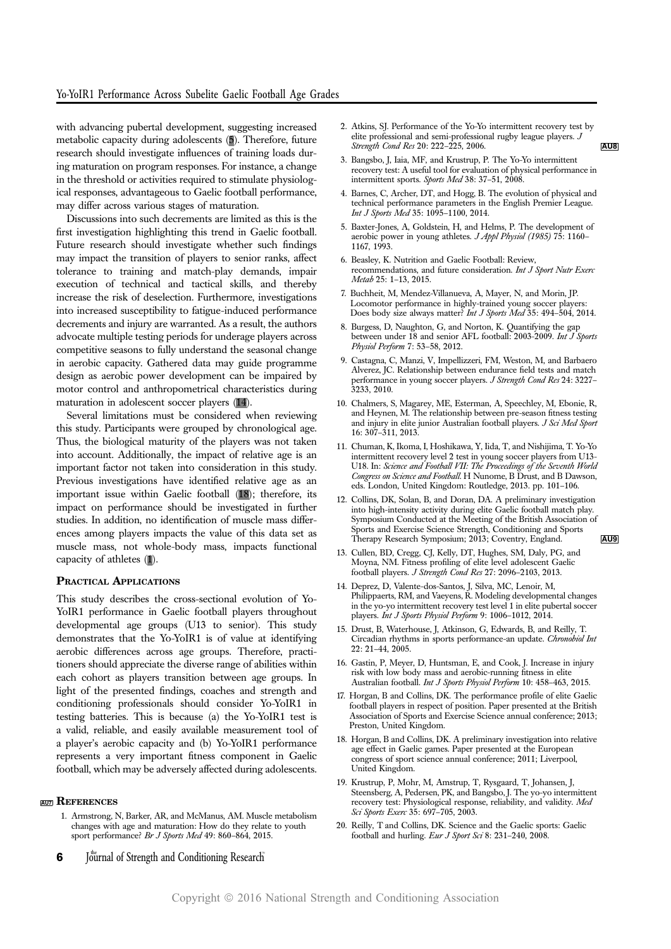with advancing pubertal development, suggesting increased metabolic capacity during adolescents (5). Therefore, future research should investigate influences of training loads during maturation on program responses. For instance, a change in the threshold or activities required to stimulate physiological responses, advantageous to Gaelic football performance, may differ across various stages of maturation.

Discussions into such decrements are limited as this is the first investigation highlighting this trend in Gaelic football. Future research should investigate whether such findings may impact the transition of players to senior ranks, affect tolerance to training and match-play demands, impair execution of technical and tactical skills, and thereby increase the risk of deselection. Furthermore, investigations into increased susceptibility to fatigue-induced performance decrements and injury are warranted. As a result, the authors advocate multiple testing periods for underage players across competitive seasons to fully understand the seasonal change in aerobic capacity. Gathered data may guide programme design as aerobic power development can be impaired by motor control and anthropometrical characteristics during maturation in adolescent soccer players (14).

Several limitations must be considered when reviewing this study. Participants were grouped by chronological age. Thus, the biological maturity of the players was not taken into account. Additionally, the impact of relative age is an important factor not taken into consideration in this study. Previous investigations have identified relative age as an important issue within Gaelic football (18); therefore, its impact on performance should be investigated in further studies. In addition, no identification of muscle mass differences among players impacts the value of this data set as muscle mass, not whole-body mass, impacts functional capacity of athletes (1).

#### PRACTICAL APPLICATIONS

This study describes the cross-sectional evolution of Yo-YoIR1 performance in Gaelic football players throughout developmental age groups (U13 to senior). This study demonstrates that the Yo-YoIR1 is of value at identifying aerobic differences across age groups. Therefore, practitioners should appreciate the diverse range of abilities within each cohort as players transition between age groups. In light of the presented findings, coaches and strength and conditioning professionals should consider Yo-YoIR1 in testing batteries. This is because (a) the Yo-YoIR1 test is a valid, reliable, and easily available measurement tool of a player's aerobic capacity and (b) Yo-YoIR1 performance represents a very important fitness component in Gaelic football, which may be adversely affected during adolescents.

#### **AU7 REFERENCES**

1. Armstrong, N, Barker, AR, and McManus, AM. Muscle metabolism changes with age and maturation: How do they relate to youth sport performance? Br J Sports Med 49: 860–864, 2015.

2. Atkins, SJ. Performance of the Yo-Yo intermittent recovery test by elite professional and semi-professional rugby league players. J  $\frac{\text{Stream}}{\text{AUB}}$ 

- 3. Bangsbo, J, Iaia, MF, and Krustrup, P. The Yo-Yo intermittent recovery test: A useful tool for evaluation of physical performance in intermittent sports. Sports Med 38: 37-51, 2008.
- 4. Barnes, C, Archer, DT, and Hogg, B. The evolution of physical and technical performance parameters in the English Premier League. Int J Sports Med 35: 1095–1100, 2014.
- 5. Baxter-Jones, A, Goldstein, H, and Helms, P. The development of aerobic power in young athletes. J Appl Physiol (1985) 75: 1160-1167, 1993.
- 6. Beasley, K. Nutrition and Gaelic Football: Review, recommendations, and future consideration. Int J Sport Nutr Exerc Metab 25: 1–13, 2015.
- 7. Buchheit, M, Mendez-Villanueva, A, Mayer, N, and Morin, JP. Locomotor performance in highly-trained young soccer players: Does body size always matter? Int J Sports Med 35: 494-504, 2014.
- 8. Burgess, D, Naughton, G, and Norton, K. Quantifying the gap between under 18 and senior AFL football: 2003-2009. Int J Sports Physiol Perform 7: 53–58, 2012.
- 9. Castagna, C, Manzi, V, Impellizzeri, FM, Weston, M, and Barbaero Alverez, JC. Relationship between endurance field tests and match performance in young soccer players. J Strength Cond Res 24: 3227– 3233, 2010.
- 10. Chalmers, S, Magarey, ME, Esterman, A, Speechley, M, Ebonie, R, and Heynen, M. The relationship between pre-season fitness testing and injury in elite junior Australian football players. J Sci Med Sport 16: 307–311, 2013.
- 11. Chuman, K, Ikoma, I, Hoshikawa, Y, Iida, T, and Nishijima, T. Yo-Yo intermittent recovery level 2 test in young soccer players from U13- U18. In: Science and Football VII: The Proceedings of the Seventh Worla Congress on Science and Football. H Nunome, B Drust, and B Dawson, eds. London, United Kingdom: Routledge, 2013. pp. 101–106.
- 12. Collins, DK, Solan, B, and Doran, DA. A preliminary investigation into high-intensity activity during elite Gaelic football match play. Symposium Conducted at the Meeting of the British Association of Sports and Exercise Science Strength, Conditioning and Sports Therapy Research Symposium; 2013; Coventry, England. AU9
- 13. Cullen, BD, Cregg, CJ, Kelly, DT, Hughes, SM, Daly, PG, and Moyna, NM. Fitness profiling of elite level adolescent Gaelic football players. J Strength Cond Res 27: 2096–2103, 2013.
- 14. Deprez, D, Valente-dos-Santos, J, Silva, MC, Lenoir, M, Philippaerts, RM, and Vaeyens, R. Modeling developmental changes in the yo-yo intermittent recovery test level 1 in elite pubertal soccer players. Int J Sports Physiol Perform 9: 1006–1012, 2014.
- 15. Drust, B, Waterhouse, J, Atkinson, G, Edwards, B, and Reilly, T. Circadian rhythms in sports performance-an update. Chronobiol Int 22: 21–44, 2005.
- 16. Gastin, P, Meyer, D, Huntsman, E, and Cook, J. Increase in injury risk with low body mass and aerobic-running fitness in elite Australian football. Int J Sports Physiol Perform 10: 458-463, 2015.
- 17. Horgan, B and Collins, DK. The performance profile of elite Gaelic football players in respect of position. Paper presented at the British Association of Sports and Exercise Science annual conference; 2013; Preston, United Kingdom.
- 18. Horgan, B and Collins, DK. A preliminary investigation into relative age effect in Gaelic games. Paper presented at the European congress of sport science annual conference; 2011; Liverpool, United Kingdom.
- 19. Krustrup, P, Mohr, M, Amstrup, T, Rysgaard, T, Johansen, J, Steensberg, A, Pedersen, PK, and Bangsbo, J. The yo-yo intermittent recovery test: Physiological response, reliability, and validity. Med Sci Sports Exerc 35: 697–705, 2003.
- 20. Reilly, T and Collins, DK. Science and the Gaelic sports: Gaelic football and hurling. Eur J Sport Sci 8: 231-240, 2008.
- 6 Journal of Strength and Conditioning Research